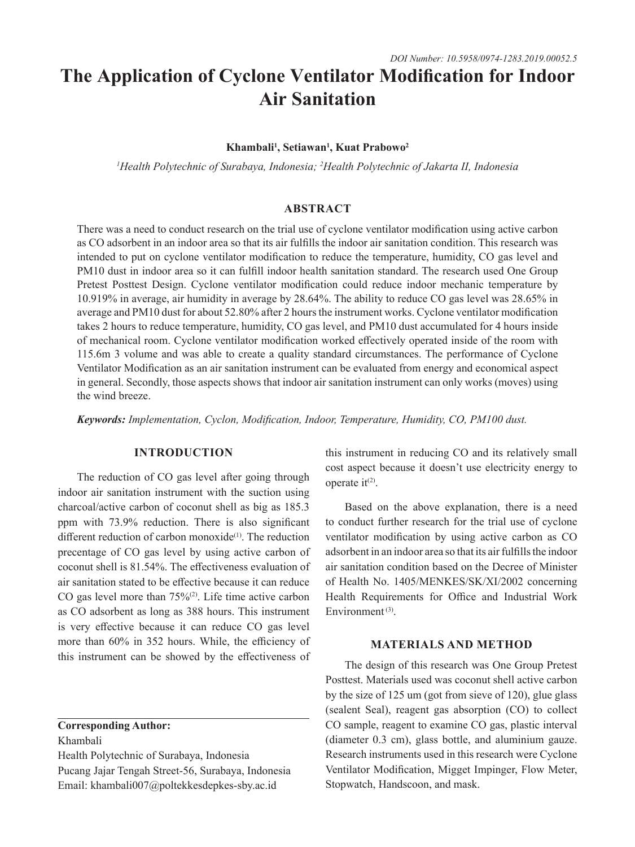# **The Application of Cyclone Ventilator Modification for Indoor Air Sanitation**

#### **Khambali1 , Setiawan1 , Kuat Prabowo2**

*1 Health Polytechnic of Surabaya, Indonesia; 2 Health Polytechnic of Jakarta II, Indonesia*

## **ABSTRACT**

There was a need to conduct research on the trial use of cyclone ventilator modification using active carbon as CO adsorbent in an indoor area so that its air fulfills the indoor air sanitation condition. This research was intended to put on cyclone ventilator modification to reduce the temperature, humidity, CO gas level and PM10 dust in indoor area so it can fulfill indoor health sanitation standard. The research used One Group Pretest Posttest Design. Cyclone ventilator modification could reduce indoor mechanic temperature by 10.919% in average, air humidity in average by 28.64%. The ability to reduce CO gas level was 28.65% in average and PM10 dust for about 52.80% after 2 hours the instrument works. Cyclone ventilator modification takes 2 hours to reduce temperature, humidity, CO gas level, and PM10 dust accumulated for 4 hours inside of mechanical room. Cyclone ventilator modification worked effectively operated inside of the room with 115.6m 3 volume and was able to create a quality standard circumstances. The performance of Cyclone Ventilator Modification as an air sanitation instrument can be evaluated from energy and economical aspect in general. Secondly, those aspects shows that indoor air sanitation instrument can only works (moves) using the wind breeze.

*Keywords: Implementation, Cyclon, Modification, Indoor, Temperature, Humidity, CO, PM100 dust.*

# **INTRODUCTION**

The reduction of CO gas level after going through indoor air sanitation instrument with the suction using charcoal/active carbon of coconut shell as big as 185.3 ppm with 73.9% reduction. There is also significant different reduction of carbon monoxide<sup>(1)</sup>. The reduction precentage of CO gas level by using active carbon of coconut shell is 81.54%. The effectiveness evaluation of air sanitation stated to be effective because it can reduce CO gas level more than  $75\%$ <sup>(2)</sup>. Life time active carbon as CO adsorbent as long as 388 hours. This instrument is very effective because it can reduce CO gas level more than 60% in 352 hours. While, the efficiency of this instrument can be showed by the effectiveness of

#### **Corresponding Author:**

Khambali

Health Polytechnic of Surabaya, Indonesia Pucang Jajar Tengah Street-56, Surabaya, Indonesia Email: khambali007@poltekkesdepkes-sby.ac.id

this instrument in reducing CO and its relatively small cost aspect because it doesn't use electricity energy to operate  $it^{(2)}$ .

Based on the above explanation, there is a need to conduct further research for the trial use of cyclone ventilator modification by using active carbon as CO adsorbent in an indoor area so that its air fulfills the indoor air sanitation condition based on the Decree of Minister of Health No. 1405/MENKES/SK/XI/2002 concerning Health Requirements for Office and Industrial Work Environment<sup>(3)</sup>.

### **MATERIALS AND METHOD**

The design of this research was One Group Pretest Posttest. Materials used was coconut shell active carbon by the size of 125 um (got from sieve of 120), glue glass (sealent Seal), reagent gas absorption (CO) to collect CO sample, reagent to examine CO gas, plastic interval (diameter 0.3 cm), glass bottle, and aluminium gauze. Research instruments used in this research were Cyclone Ventilator Modification, Migget Impinger, Flow Meter, Stopwatch, Handscoon, and mask.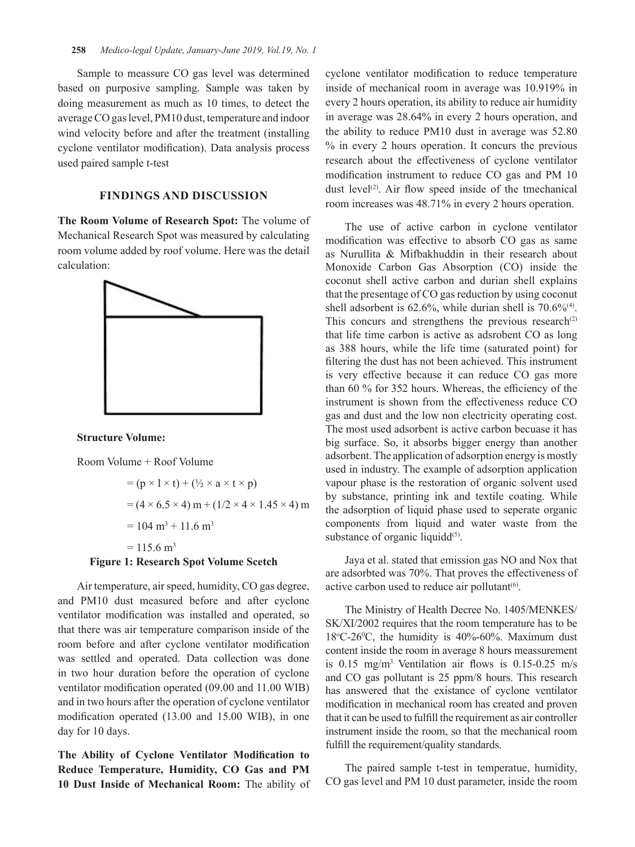Sample to meassure CO gas level was determined based on purposive sampling. Sample was taken by doing measurement as much as 10 times, to detect the average CO gas level, PM10 dust, temperature and indoor wind velocity before and after the treatment (installing cyclone ventilator modification). Data analysis process used paired sample t-test

# **FINDINGS AND DISCUSSION**

**The Room Volume of Research Spot:** The volume of Mechanical Research Spot was measured by calculating room volume added by roof volume. Here was the detail calculation:



**Structure Volume:**

Room Volume + Roof Volume

$$
= (p \times 1 \times t) + (\frac{1}{2} \times a \times t \times p)
$$
  
= (4 \times 6.5 \times 4) m + (1/2 \times 4 \times 1.45 \times 4) m  
= 104 m<sup>3</sup> + 11.6 m<sup>3</sup>  
= 115.6 m<sup>3</sup>  
Figure 1: Research Spot Volume Sectch

Air temperature, air speed, humidity, CO gas degree, and PM10 dust measured before and after cyclone ventilator modification was installed and operated, so that there was air temperature comparison inside of the room before and after cyclone ventilator modification was settled and operated. Data collection was done in two hour duration before the operation of cyclone ventilator modification operated (09.00 and 11.00 WIB) and in two hours after the operation of cyclone ventilator modification operated (13.00 and 15.00 WIB), in one day for 10 days.

**The Ability of Cyclone Ventilator Modification to Reduce Temperature, Humidity, CO Gas and PM 10 Dust Inside of Mechanical Room:** The ability of cyclone ventilator modification to reduce temperature inside of mechanical room in average was 10.919% in every 2 hours operation, its ability to reduce air humidity in average was 28.64% in every 2 hours operation, and the ability to reduce PM10 dust in average was 52.80 % in every 2 hours operation. It concurs the previous research about the effectiveness of cyclone ventilator modification instrument to reduce CO gas and PM 10 dust level<sup>(2)</sup>. Air flow speed inside of the tmechanical room increases was 48.71% in every 2 hours operation.

The use of active carbon in cyclone ventilator modification was effective to absorb CO gas as same as Nurullita & Mifbakhuddin in their research about Monoxide Carbon Gas Absorption (CO) inside the coconut shell active carbon and durian shell explains that the presentage of CO gas reduction by using coconut shell adsorbent is  $62.6\%$ , while durian shell is  $70.6\%$ <sup>(4)</sup>. This concurs and strengthens the previous research<sup>(2)</sup> that life time carbon is active as adsrobent CO as long as 388 hours, while the life time (saturated point) for filtering the dust has not been achieved. This instrument is very effective because it can reduce CO gas more than 60 % for 352 hours. Whereas, the efficiency of the instrument is shown from the effectiveness reduce CO gas and dust and the low non electricity operating cost. The most used adsorbent is active carbon becuase it has big surface. So, it absorbs bigger energy than another adsorbent. The application of adsorption energy is mostly used in industry. The example of adsorption application vapour phase is the restoration of organic solvent used by substance, printing ink and textile coating. While the adsorption of liquid phase used to seperate organic components from liquid and water waste from the substance of organic liquidd $(5)$ .

Jaya et al. stated that emission gas NO and Nox that are adsorbted was 70%. That proves the effectiveness of active carbon used to reduce air pollutant $(6)$ .

The Ministry of Health Decree No. 1405/MENKES/ SK/XI/2002 requires that the room temperature has to be  $18^{\circ}$ C-26<sup>o</sup>C, the humidity is 40%-60%. Maximum dust content inside the room in average 8 hours meassurement is 0.15 mg/m3. Ventilation air flows is 0.15-0.25 m/s and CO gas pollutant is 25 ppm/8 hours. This research has answered that the existance of cyclone ventilator modification in mechanical room has created and proven that it can be used to fulfill the requirement as air controller instrument inside the room, so that the mechanical room fulfill the requirement/quality standards.

The paired sample t-test in temperatue, humidity, CO gas level and PM 10 dust parameter, inside the room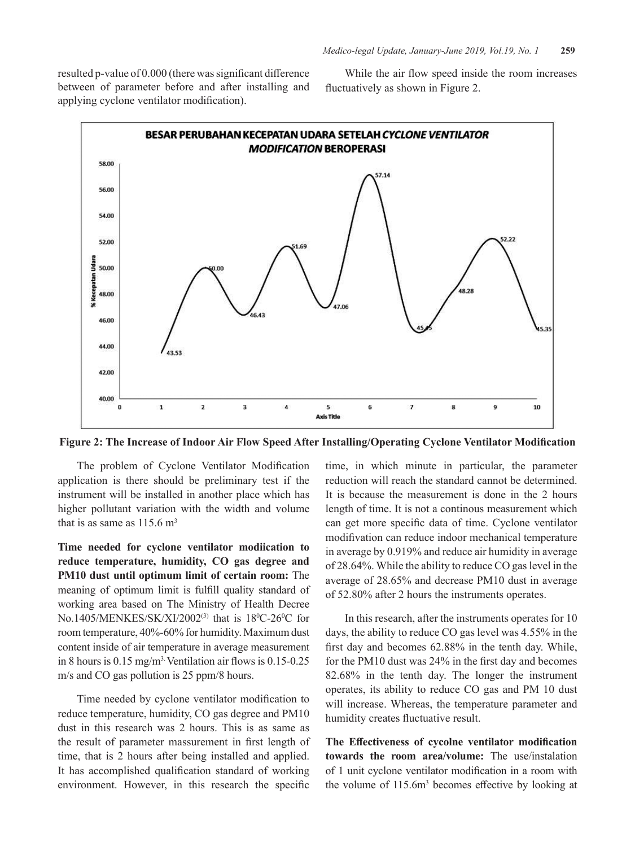resulted p-value of 0.000 (there was significant difference between of parameter before and after installing and applying cyclone ventilator modification).

While the air flow speed inside the room increases fluctuatively as shown in Figure 2.



**Figure 2: The Increase of Indoor Air Flow Speed After Installing/Operating Cyclone Ventilator Modification**

The problem of Cyclone Ventilator Modification application is there should be preliminary test if the instrument will be installed in another place which has higher pollutant variation with the width and volume that is as same as  $115.6 \text{ m}^3$ 

**Time needed for cyclone ventilator modiication to reduce temperature, humidity, CO gas degree and PM10 dust until optimum limit of certain room:** The meaning of optimum limit is fulfill quality standard of working area based on The Ministry of Health Decree No.1405/MENKES/SK/XI/2002<sup>(3)</sup> that is 18<sup>0</sup>C-26<sup>0</sup>C for room temperature, 40%-60% for humidity. Maximum dust content inside of air temperature in average measurement in 8 hours is  $0.15 \text{ mg/m}^3$ . Ventilation air flows is  $0.15$ -0.25 m/s and CO gas pollution is 25 ppm/8 hours.

Time needed by cyclone ventilator modification to reduce temperature, humidity, CO gas degree and PM10 dust in this research was 2 hours. This is as same as the result of parameter massurement in first length of time, that is 2 hours after being installed and applied. It has accomplished qualification standard of working environment. However, in this research the specific

time, in which minute in particular, the parameter reduction will reach the standard cannot be determined. It is because the measurement is done in the 2 hours length of time. It is not a continous measurement which can get more specific data of time. Cyclone ventilator modifivation can reduce indoor mechanical temperature in average by 0.919% and reduce air humidity in average of 28.64%. While the ability to reduce CO gas level in the average of 28.65% and decrease PM10 dust in average of 52.80% after 2 hours the instruments operates.

In this research, after the instruments operates for 10 days, the ability to reduce CO gas level was 4.55% in the first day and becomes 62.88% in the tenth day. While, for the PM10 dust was 24% in the first day and becomes 82.68% in the tenth day. The longer the instrument operates, its ability to reduce CO gas and PM 10 dust will increase. Whereas, the temperature parameter and humidity creates fluctuative result.

**The Effectiveness of cycolne ventilator modification towards the room area/volume:** The use/instalation of 1 unit cyclone ventilator modification in a room with the volume of  $115.6m<sup>3</sup>$  becomes effective by looking at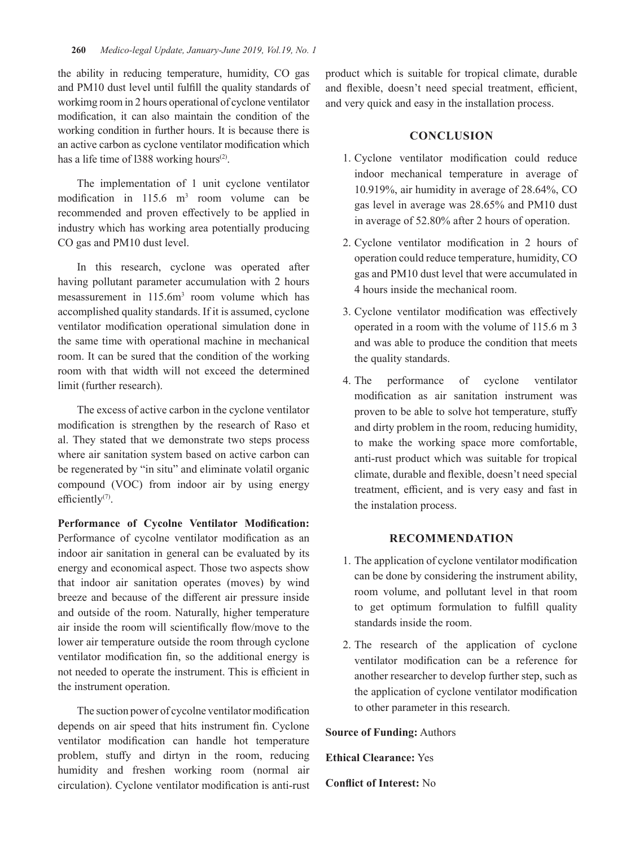the ability in reducing temperature, humidity, CO gas and PM10 dust level until fulfill the quality standards of workimg room in 2 hours operational of cyclone ventilator modification, it can also maintain the condition of the working condition in further hours. It is because there is an active carbon as cyclone ventilator modification which has a life time of 1388 working hours<sup> $(2)$ </sup>.

The implementation of 1 unit cyclone ventilator modification in  $115.6$  m<sup>3</sup> room volume can be recommended and proven effectively to be applied in industry which has working area potentially producing CO gas and PM10 dust level.

In this research, cyclone was operated after having pollutant parameter accumulation with 2 hours mesassurement in 115.6m<sup>3</sup> room volume which has accomplished quality standards. If it is assumed, cyclone ventilator modification operational simulation done in the same time with operational machine in mechanical room. It can be sured that the condition of the working room with that width will not exceed the determined limit (further research).

The excess of active carbon in the cyclone ventilator modification is strengthen by the research of Raso et al. They stated that we demonstrate two steps process where air sanitation system based on active carbon can be regenerated by "in situ" and eliminate volatil organic compound (VOC) from indoor air by using energy efficiently<sup>(7)</sup>.

**Performance of Cycolne Ventilator Modification:**  Performance of cycolne ventilator modification as an indoor air sanitation in general can be evaluated by its energy and economical aspect. Those two aspects show that indoor air sanitation operates (moves) by wind breeze and because of the different air pressure inside and outside of the room. Naturally, higher temperature air inside the room will scientifically flow/move to the lower air temperature outside the room through cyclone ventilator modification fin, so the additional energy is not needed to operate the instrument. This is efficient in the instrument operation.

The suction power of cycolne ventilator modification depends on air speed that hits instrument fin. Cyclone ventilator modification can handle hot temperature problem, stuffy and dirtyn in the room, reducing humidity and freshen working room (normal air circulation). Cyclone ventilator modification is anti-rust product which is suitable for tropical climate, durable and flexible, doesn't need special treatment, efficient, and very quick and easy in the installation process.

## **CONCLUSION**

- 1. Cyclone ventilator modification could reduce indoor mechanical temperature in average of 10.919%, air humidity in average of 28.64%, CO gas level in average was 28.65% and PM10 dust in average of 52.80% after 2 hours of operation.
- 2. Cyclone ventilator modification in 2 hours of operation could reduce temperature, humidity, CO gas and PM10 dust level that were accumulated in 4 hours inside the mechanical room.
- 3. Cyclone ventilator modification was effectively operated in a room with the volume of 115.6 m 3 and was able to produce the condition that meets the quality standards.
- 4. The performance of cyclone ventilator modification as air sanitation instrument was proven to be able to solve hot temperature, stuffy and dirty problem in the room, reducing humidity, to make the working space more comfortable, anti-rust product which was suitable for tropical climate, durable and flexible, doesn't need special treatment, efficient, and is very easy and fast in the instalation process.

## **RECOMMENDATION**

- 1. The application of cyclone ventilator modification can be done by considering the instrument ability, room volume, and pollutant level in that room to get optimum formulation to fulfill quality standards inside the room.
- 2. The research of the application of cyclone ventilator modification can be a reference for another researcher to develop further step, such as the application of cyclone ventilator modification to other parameter in this research.

**Source of Funding:** Authors

**Ethical Clearance:** Yes

**Conflict of Interest:** No